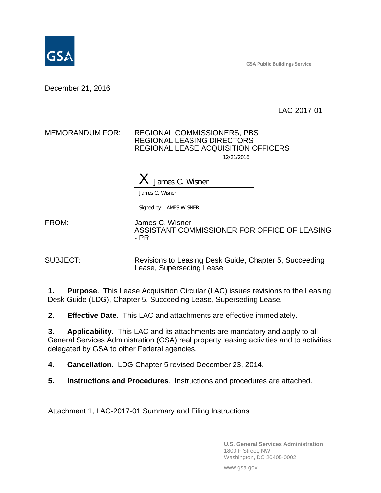

**GSA Public Buildings Service**

December 21, 2016

LAC-2017-01

## MEMORANDUM FOR: REGIONAL COMMISSIONERS, PBS REGIONAL LEASING DIRECTORS REGIONAL LEASE ACQUISITION OFFICERS 12/21/2016

 $X$  James C. Wisner

James C. Wisner

Signed by: JAMES WISNER

FROM: James C. Wisner ASSISTANT COMMISSIONER FOR OFFICE OF LEASING - PR

SUBJECT: Revisions to Leasing Desk Guide, Chapter 5, Succeeding Lease, Superseding Lease

**1. Purpose**. This Lease Acquisition Circular (LAC) issues revisions to the Leasing Desk Guide (LDG), Chapter 5, Succeeding Lease, Superseding Lease.

**2. Effective Date**. This LAC and attachments are effective immediately.

**3. Applicability**. This LAC and its attachments are mandatory and apply to all General Services Administration (GSA) real property leasing activities and to activities delegated by GSA to other Federal agencies.

**4. Cancellation**. LDG Chapter 5 revised December 23, 2014.

**5. Instructions and Procedures**. Instructions and procedures are attached.

Attachment 1, LAC-2017-01 Summary and Filing Instructions

**U.S. General Services Administration** 1800 F Street, NW Washington, DC 20405-0002

www.gsa.gov